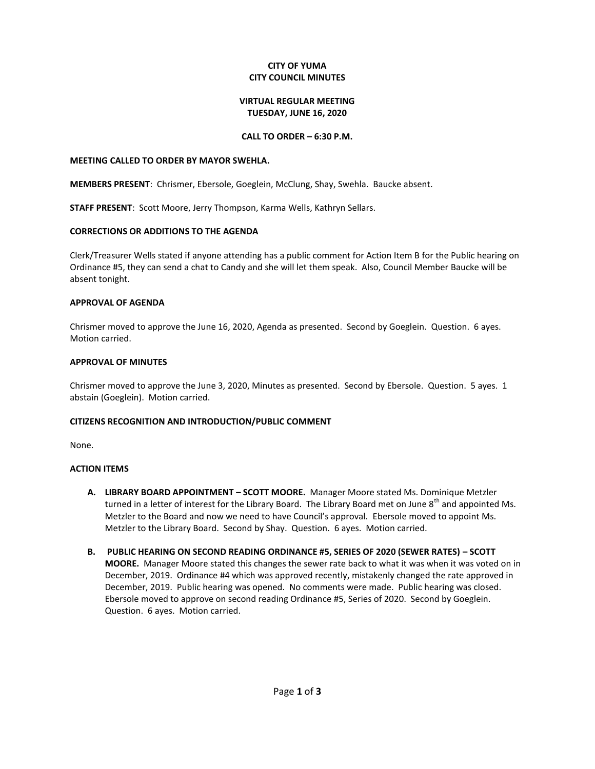#### **CITY OF YUMA CITY COUNCIL MINUTES**

#### **VIRTUAL REGULAR MEETING TUESDAY, JUNE 16, 2020**

## **CALL TO ORDER – 6:30 P.M.**

#### **MEETING CALLED TO ORDER BY MAYOR SWEHLA.**

**MEMBERS PRESENT**: Chrismer, Ebersole, Goeglein, McClung, Shay, Swehla. Baucke absent.

**STAFF PRESENT**: Scott Moore, Jerry Thompson, Karma Wells, Kathryn Sellars.

## **CORRECTIONS OR ADDITIONS TO THE AGENDA**

Clerk/Treasurer Wells stated if anyone attending has a public comment for Action Item B for the Public hearing on Ordinance #5, they can send a chat to Candy and she will let them speak. Also, Council Member Baucke will be absent tonight.

## **APPROVAL OF AGENDA**

Chrismer moved to approve the June 16, 2020, Agenda as presented. Second by Goeglein. Question. 6 ayes. Motion carried.

## **APPROVAL OF MINUTES**

Chrismer moved to approve the June 3, 2020, Minutes as presented. Second by Ebersole. Question. 5 ayes. 1 abstain (Goeglein). Motion carried.

#### **CITIZENS RECOGNITION AND INTRODUCTION/PUBLIC COMMENT**

None.

#### **ACTION ITEMS**

- **A. LIBRARY BOARD APPOINTMENT – SCOTT MOORE.** Manager Moore stated Ms. Dominique Metzler turned in a letter of interest for the Library Board. The Library Board met on June  $8^{th}$  and appointed Ms. Metzler to the Board and now we need to have Council's approval. Ebersole moved to appoint Ms. Metzler to the Library Board. Second by Shay. Question. 6 ayes. Motion carried.
- **B. PUBLIC HEARING ON SECOND READING ORDINANCE #5, SERIES OF 2020 (SEWER RATES) – SCOTT MOORE.** Manager Moore stated this changes the sewer rate back to what it was when it was voted on in December, 2019. Ordinance #4 which was approved recently, mistakenly changed the rate approved in December, 2019. Public hearing was opened. No comments were made. Public hearing was closed. Ebersole moved to approve on second reading Ordinance #5, Series of 2020. Second by Goeglein. Question. 6 ayes. Motion carried.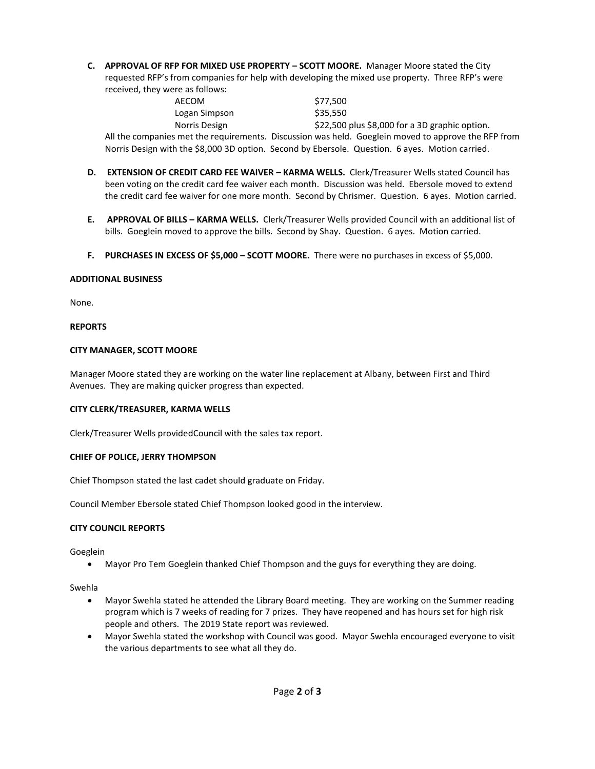**C. APPROVAL OF RFP FOR MIXED USE PROPERTY – SCOTT MOORE.** Manager Moore stated the City requested RFP's from companies for help with developing the mixed use property. Three RFP's were received, they were as follows:

| AECOM         | \$77.500                                                                                            |
|---------------|-----------------------------------------------------------------------------------------------------|
| Logan Simpson | \$35,550                                                                                            |
| Norris Design | \$22,500 plus \$8,000 for a 3D graphic option.                                                      |
|               | All the companies met the reguirements. Discussion was held. Goeglein moved to approve the RFP from |

**D. EXTENSION OF CREDIT CARD FEE WAIVER – KARMA WELLS.** Clerk/Treasurer Wells stated Council has been voting on the credit card fee waiver each month. Discussion was held. Ebersole moved to extend the credit card fee waiver for one more month. Second by Chrismer. Question. 6 ayes. Motion carried.

Norris Design with the \$8,000 3D option. Second by Ebersole. Question. 6 ayes. Motion carried.

- **E. APPROVAL OF BILLS – KARMA WELLS.** Clerk/Treasurer Wells provided Council with an additional list of bills. Goeglein moved to approve the bills. Second by Shay. Question. 6 ayes. Motion carried.
- **F. PURCHASES IN EXCESS OF \$5,000 – SCOTT MOORE.** There were no purchases in excess of \$5,000.

## **ADDITIONAL BUSINESS**

None.

## **REPORTS**

## **CITY MANAGER, SCOTT MOORE**

Manager Moore stated they are working on the water line replacement at Albany, between First and Third Avenues. They are making quicker progress than expected.

#### **CITY CLERK/TREASURER, KARMA WELLS**

Clerk/Treasurer Wells providedCouncil with the sales tax report.

#### **CHIEF OF POLICE, JERRY THOMPSON**

Chief Thompson stated the last cadet should graduate on Friday.

Council Member Ebersole stated Chief Thompson looked good in the interview.

## **CITY COUNCIL REPORTS**

Goeglein

Mayor Pro Tem Goeglein thanked Chief Thompson and the guys for everything they are doing.

Swehla

- Mayor Swehla stated he attended the Library Board meeting. They are working on the Summer reading program which is 7 weeks of reading for 7 prizes. They have reopened and has hours set for high risk people and others. The 2019 State report was reviewed.
- Mayor Swehla stated the workshop with Council was good. Mayor Swehla encouraged everyone to visit the various departments to see what all they do.